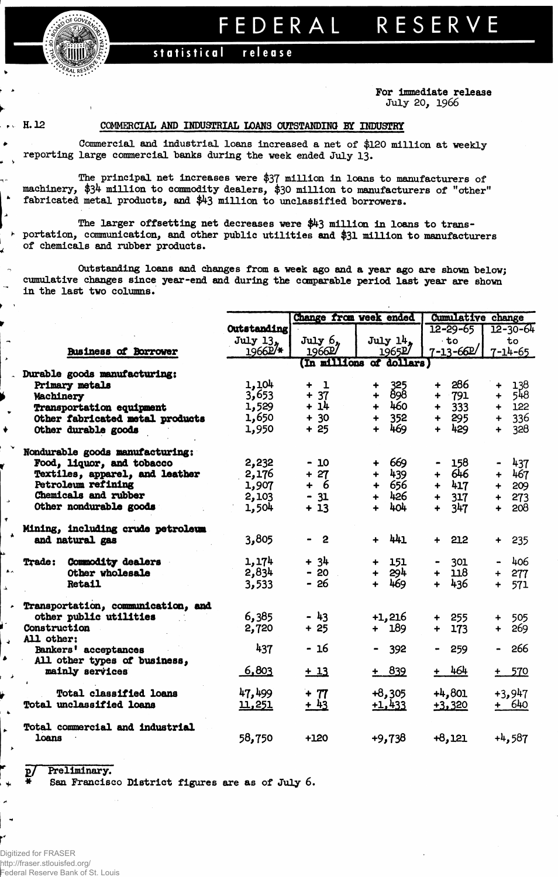## FEDERAL RESERVE

## statistical release

**For Immediate release July 20, 1966**

 $\lambda$ 

۰

## **H. 12 COMMERCIAL AMD INDUSTRIAL LOANS OUTSTANDING BY INDUSTRY**

**Commercial and industrial loans increased a net of \$120 million at weekly ^ reporting large commercial "banks during the week ended July 13.**

**The principal net increases were \$37 million in loans to manufacturers of machinery, \$34 million to commodity dealers, \$30 million to manufacturers of "other" <sup>k</sup> fabricated metal products, and \$43 million to unclassified "borrowers.**

**The larger offsetting net decreases were \$43 million in loans to trans- • portation, communication, and other public utilities and \$31 million to manufacturers of chemicals and rubber products.**

**Outstanding loans and changes from a week ago and a year ago are shown below; cumulative changes since year-end and during the comparable period last year are shown in the last two columns.**

|                                    |             | Change from week ended | <b>Cumulative change</b>  |                             |                       |  |
|------------------------------------|-------------|------------------------|---------------------------|-----------------------------|-----------------------|--|
|                                    | Outstanding |                        |                           | $12 - 29 - 65$              | $12 - 30 - 64$        |  |
|                                    | July 13,    | $July\6.$              | July 14.                  | $-t$ o                      | to                    |  |
| <b>Business of Borrower</b>        | 1966P/*     | 1966P                  | 1965P                     | $7 - 13 - 662$              | $7 - 14 - 65$         |  |
| Durable goods manufacturing:       |             |                        | (In millions of dollars)  |                             |                       |  |
| Primary metals                     | 1,104       | -1<br>┿                | ٠                         | 286<br>$\ddot{\phantom{1}}$ | 138<br>$\ddotmark$    |  |
| Machinery                          | 3,653       | $+ 37$                 | 325<br>898<br>$\ddotmark$ | 791<br>$\ddotmark$          | 548<br>$\ddotmark$    |  |
| <b>Transportation equipment</b>    | 1,529       | $+14$                  | 460<br>$+$                | 333<br>$\ddotmark$          | 122<br>$+$            |  |
| Other fabricated metal products    | 1,650       | $+ 30$                 | 352<br>$+$                | 295<br>$\ddot{\phantom{1}}$ | 336<br>$+$            |  |
| Other durable goods                | 1,950       | $+25$                  | 469<br>$+$                | 429<br>$\ddot{}$            | 328<br>$\ddot{+}$     |  |
| Nondurable goods manufacturing:    |             |                        |                           |                             |                       |  |
| Food, liquor, and tobacco          | 2,232       | $-10$                  | 669                       | 158                         | 437                   |  |
| Textiles, apparel, and leather     | 2,176       | $+27$                  | 439<br>$+$                | 646<br>$\ddot{+}$           | + 467                 |  |
| Petroleum refining                 | 1,907       | + 6                    | + 656                     | 417<br>$\ddotmark$          | 209<br>$+$            |  |
| Chemicals and rubber               | 2,103       | $-31$                  | $+ 426$                   | 317<br>$\ddot{}$            | 273<br>$+$            |  |
| Other nondurable goods             | 1,504       | $+13$                  | 404<br>$+$                | 347<br>$\ddot{+}$           | 208<br>$\ddot{+}$     |  |
| Mining, including crude petroleum  |             |                        |                           |                             |                       |  |
| and natural gas                    | 3,805       | $-2$                   | $+ 441$                   | 212<br>$+$                  | 235<br>$+$            |  |
| <b>Trade: Commodity dealers</b>    | 1,174       | $+ 34$                 | 151<br>$+$ $-$            | 301                         | 406<br>$\blacksquare$ |  |
| Other wholesale                    | 2,834       | $-20$                  | 294<br>$+$                | 118<br>$+$                  | $+ 277$               |  |
| <b>Retail</b>                      | 3,533       | - 26                   | 469<br>$+$                | 436<br>$\ddot{+}$           | 571<br>$+$ $-$        |  |
| Transportation, communication, and |             |                        |                           |                             |                       |  |
| other public utilities             | 6,385       | $-43$                  | $+1,216$                  | 255<br>$\ddag$              | 505<br>$+$            |  |
| Construction                       | 2,720       | $+25$                  | $+ 189$                   | $+$<br>173                  | 269<br>$+$            |  |
| All other:<br>Bankers' acceptances | 437         | - 16                   | $-392$                    | 259<br>$\bullet$ .          | 266                   |  |
| All other types of business,       |             |                        |                           |                             |                       |  |
| mainly services                    | 6,803       | $+13$                  | $+ 839$                   | <u>+ 464</u>                | $+ 570$               |  |
| <b>Total classified loans</b>      | 47,499      | + 77                   | $+8,305$                  | $+4,801$                    | $+3,947$              |  |
| Total unclassified loans           | 11,251      | $+43$                  | $+1,433$                  | $+3,320$                    | + 640                 |  |
| Total commercial and industrial    |             |                        |                           |                             |                       |  |
| loans                              | 58,750      | $+120$                 | $+9,738$                  | $+8,121$                    | $+4,587$              |  |

## **£7 Preliminary.**

**\* San Francisco District figures are as of July 6.**

r

 $\rightarrow$